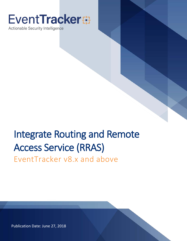# **EventTracker**

Actionable Security Intelligence

# Integrate Routing and Remote Access Service (RRAS)

EventTracker v8.x and above

Publication Date: June 27, 2018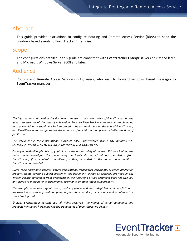### <span id="page-1-0"></span>Abstract

This guide provides instructions to configure Routing and Remote Access Service (RRAS) to send the windows based events to EventTracker Enterprise.

### <span id="page-1-1"></span>Scope

The configurations detailed in this guide are consistent with **EventTracker Enterprise** version 8.x and later, and Microsoft Windows Server 2008 and later.

### <span id="page-1-2"></span>Audience

Routing and Remote Access Service (RRAS) users, who wish to forward windows based messages to EventTracker manager.

*The information contained in this document represents the current view of EventTracker. on the issues discussed as of the date of publication. Because EventTracker must respond to changing market conditions, it should not be interpreted to be a commitment on the part of EventTracker, and EventTracker cannot guarantee the accuracy of any information presented after the date of publication.* 

*This document is for informational purposes only. EventTracker MAKES NO WARRANTIES, EXPRESS OR IMPLIED, AS TO THE INFORMATION IN THIS DOCUMENT.* 

*Complying with all applicable copyright laws is the responsibility of the user. Without limiting the*  rights under copyright, this paper may be freely distributed without permission from *EventTracker, if its content is unaltered, nothing is added to the content and credit to EventTracker is provided.* 

*EventTracker may have patents, patent applications, trademarks, copyrights, or other intellectual property rights covering subject matter in this document. Except as expressly provided in any written license agreement from EventTracker, the furnishing of this document does not give you any license to these patents, trademarks, copyrights, or other intellectual property.* 

*The example companies, organizations, products, people and events depicted herein are fictitious. No association with any real company, organization, product, person or event is intended or should be inferred.* 

*© 2017 EventTracker Security LLC. All rights reserved. The names of actual companies and products mentioned herein may be the trademarks of their respective owners.*

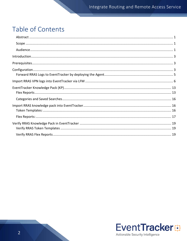# Table of Contents

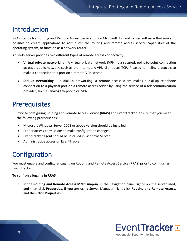# <span id="page-3-0"></span>Introduction

RRAS stands for Routing and Remote Access Service. It is a Microsoft API and server software that makes it possible to create applications to administer the routing and remote access service capabilities of the operating system, to function as a network router.

An RRAS server provides two different types of remote access connectivity:

- **Virtual private networking** A virtual private network (VPN) is a secured, point-to-point connection across a public network, such as the Internet. A VPN client uses TCP/IP-based tunneling protocols to make a connection to a port on a remote VPN server.
- **Dial-up networking** In dial-up networking, a remote access client makes a dial-up telephone connection to a physical port on a remote access server by using the service of a telecommunication provider, such as analog telephone or ISDN.

# <span id="page-3-1"></span>**Prerequisites**

Prior to configuring Routing and Remote Access Service (RRAS) and EventTracker, ensure that you meet the following prerequisites:

- Microsoft Windows Server 2008 or above version should be installed.
- Proper access permissions to make configuration changes.
- EventTracker agent should be installed in Windows Server.
- Administrative access on EventTracker.

# <span id="page-3-2"></span>**Configuration**

You must enable and configure logging on Routing and Remote Access Service (RRAS) prior to configuring EventTracker.

#### **To configure logging in RRAS**,

1. In the **Routing and Remote Access MMC snap-in**, in the navigation pane, right-click the server used, and then click **Properties**. If you are using Server Manager, right-click **Routing and Remote Access**, and then click **Properties**.

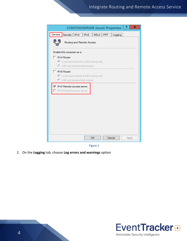### Integrate Routing and Remote Access Service

| 7<br>CONTOSOSERVER (local) Properties                                                          | ×     |
|------------------------------------------------------------------------------------------------|-------|
| General<br>Security<br>IPv4<br>IKE <sub>v2</sub><br>IPv6<br><b>PPP</b><br>Logging              |       |
| Routing and Remote Access                                                                      |       |
| Enable this computer as a:                                                                     |       |
| IPv4 Router<br>C Local area network (LAN) routing only<br>C LAN and demand-dial routing        |       |
| $\Box$ IPv6 Router<br>⊙ Local area network (LAN) routing only<br>C LAN and demand-dial routing |       |
| <b>▽</b> IPv4 Remote access server<br>Pv6 Remote access server                                 |       |
|                                                                                                |       |
| OK<br>Cancel                                                                                   | Apply |

Figure 1

2. On the **Logging** tab, choose **Log errors and warnings** option

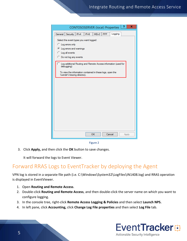| CONTOSOSERVER (local) Properties                                                                 | ?     | × |
|--------------------------------------------------------------------------------------------------|-------|---|
| Logging<br>IKE <sub>v2</sub><br><b>PPP</b><br>General<br>Security  <br>IPv4<br>IP <sub>v</sub> 6 |       |   |
| Select the event types you want logged:                                                          |       |   |
| C Log errors only                                                                                |       |   |
| C Log errors and warnings                                                                        |       |   |
| C Log all events                                                                                 |       |   |
| C Do not log any events                                                                          |       |   |
| Log additional Routing and Remote Access information (used for<br>debugging)                     |       |   |
| To view the information contained in these logs, open the<br>%windir%\tracing directory.         |       |   |
|                                                                                                  |       |   |
|                                                                                                  |       |   |
|                                                                                                  |       |   |
|                                                                                                  |       |   |
|                                                                                                  |       |   |
|                                                                                                  |       |   |
|                                                                                                  |       |   |
|                                                                                                  |       |   |
|                                                                                                  |       |   |
|                                                                                                  |       |   |
|                                                                                                  |       |   |
| <b>OK</b><br>Cancel                                                                              | Apply |   |
|                                                                                                  |       |   |

Figure 2

3. Click **Apply,** and then click the **OK** button to save changes.

It will forward the logs to Event Viewer.

### <span id="page-5-0"></span>Forward RRAS Logs to EventTracker by deploying the Agent

VPN log is stored in a separate file path (i.e. C:\Windows\System32\LogFiles\IN1408.log) and RRAS operation is displayed in EventViewer.

- 1. Open **Routing and Remote Access**.
- 2. Double-click **Routing and Remote Access**, and then double-click the server name on which you want to configure logging.
- 3. In the console tree, right-click **Remote Access Logging & Policies** and then select **Launch NPS.**
- 4. In left pane, click **Accounting,** click **Change Log File properties** and then select **Log File** tab.

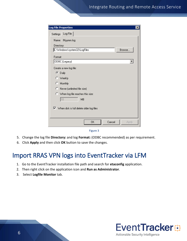| <b>Log File Properties</b><br>×                                |
|----------------------------------------------------------------|
| Log File<br>Settings                                           |
| Name: INyymm.log                                               |
| Directory:                                                     |
| C:\Windows\system32\LogFiles<br>Browse.                        |
| Format:                                                        |
| ODBC (Legacy)<br>▼                                             |
| Create a new log file:                                         |
| $\bullet$ Daily                                                |
| C Weekly                                                       |
| C Monthly                                                      |
| C Never (unlimited file size)                                  |
| C When log file reaches this size:                             |
| 10<br>MB                                                       |
| $\blacktriangleright$ When disk is full delete older log files |
|                                                                |
| Cancel<br>0K<br>Apply                                          |
|                                                                |



- 5. Change the log file **Directory:** and log **Format:** (ODBC recommended) as per requirement.
- 6. Click **Apply** and then click **OK** button to save the changes.

# <span id="page-6-0"></span>Import RRAS VPN logs into EventTracker via LFM

- 1. Go to the EventTracker installation file path and search for **etaconfig** application.
- 2. Then right click on the application icon and **Run as Administrator**.
- 3. Select **Logfile Monitor** tab.

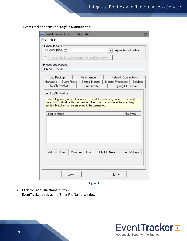EventTracker opens the '**Logfile Monitor'** tab.

| ExentTracker Agent Configuration                                                                                                                              | x |
|---------------------------------------------------------------------------------------------------------------------------------------------------------------|---|
| File<br>Help                                                                                                                                                  |   |
| Select Systems                                                                                                                                                |   |
| PRI-SVR16-VM02<br>Agent based system                                                                                                                          |   |
| Apply the following settings to specified Agents<br>l T                                                                                                       |   |
|                                                                                                                                                               |   |
| Manager destinations:<br>PRI-SVR16-VM02                                                                                                                       |   |
|                                                                                                                                                               |   |
| Performance<br>Log Backup<br>Network Connections                                                                                                              |   |
| Managers   Event Filters  <br>System Monitor<br>Monitor Processes   Services<br>Logfile Monitor<br>File Transfer<br>syslog FTP server                         |   |
|                                                                                                                                                               |   |
| <b>▽</b> Logfile Monitor                                                                                                                                      |   |
| Search log files (various formats supported) for matching patterns specified.<br>here. Both individual files as well as folders can be monitored for matching |   |
| entries. Matches cause an event to be generated.                                                                                                              |   |
|                                                                                                                                                               |   |
| File Type<br>Logfile Name                                                                                                                                     |   |
|                                                                                                                                                               |   |
|                                                                                                                                                               |   |
|                                                                                                                                                               |   |
|                                                                                                                                                               |   |
|                                                                                                                                                               |   |
|                                                                                                                                                               |   |
| View File Details<br>Delete File Name<br>Add File Name<br>Search Strings                                                                                      |   |
|                                                                                                                                                               |   |
|                                                                                                                                                               |   |
|                                                                                                                                                               |   |
| Save<br>Close                                                                                                                                                 |   |

Figure 4

4. Click the **Add File Name** button. EventTracker displays the 'Enter File Name' window.

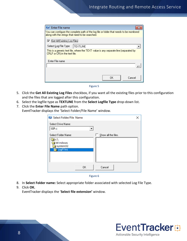| <b>Enter File name</b>        |                                                                                                                                              |        |
|-------------------------------|----------------------------------------------------------------------------------------------------------------------------------------------|--------|
|                               | You can configure the complete path of the log file or folder that needs to be monitored<br>along with the strings that need to be searched. |        |
| Get All Existing Log Files    |                                                                                                                                              |        |
| Select Log File Type          | <b>TEXTLINE</b>                                                                                                                              |        |
| CRLF or CR) in the text file. | This is a generic text file, where the TEXT value is any separate line (separated by                                                         |        |
| Enter File name               |                                                                                                                                              |        |
|                               |                                                                                                                                              |        |
|                               |                                                                                                                                              |        |
|                               | OΚ                                                                                                                                           | Cancel |



- 5. Click the **Get All Existing Log Files** checkbox, if you want all the existing files prior to this configuration and the files that are logged after this configuration.
- 6. Select the logfile type as **TEXTLINE** from the **Select Logfile Type** drop-down list.
- 7. Click the **Enter File Name** path option. EventTracker displays the 'Select Folder/File Name' window.

| Select Folder/File Name                                                          |    |                     | × |
|----------------------------------------------------------------------------------|----|---------------------|---|
| Select Drive Name:<br>⊜c:                                                        |    |                     |   |
| Select Folder Name:<br>¶ c:\<br><b>Windows</b><br>System32<br><b>Ex LogFiles</b> |    | Show all the files. |   |
|                                                                                  | 0K | Cancel              |   |

Figure 6

- 8. In **Select Folder name:** Select appropriate folder associated with selected Log File Type.
- 9. Click **OK.**

EventTracker displays the '**Select file extension'** window.

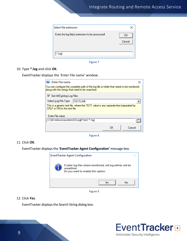| Select file extension                            |              |
|--------------------------------------------------|--------------|
| Enter the log file(s) extension to be processed! | OK<br>Cancel |
| '.loal                                           |              |

Figure 7

10. Type **\*.log** and click **OK**.

EventTracker displays the 'Enter File name' window.

| <b>Enter File name</b>                                                                                                |                                                                                           |    |        |
|-----------------------------------------------------------------------------------------------------------------------|-------------------------------------------------------------------------------------------|----|--------|
| along with the strings that need to be searched.                                                                      | You can configure the complete path of the log file or folder that needs to be monitored. |    |        |
| $\blacktriangleright$ Get All Existing Log Files                                                                      |                                                                                           |    |        |
| Select Log File Type                                                                                                  | <b>TEXTLINE</b>                                                                           |    |        |
| This is a generic text file, where the TEXT value is any separate line (separated by<br>CRLF or CR) in the text file. |                                                                                           |    |        |
| Enter File name                                                                                                       |                                                                                           |    |        |
| c:\Windows\system32\LogFiles\ *.log                                                                                   |                                                                                           |    |        |
|                                                                                                                       |                                                                                           | OΚ | Cancel |

Figure 8

#### 11. Click **OK**.

EventTracker displays the '**EventTracker Agent Configuration'** message box.



Figure 9

#### 12. Click **Yes**.

EventTracker displays the Search String dialog box.

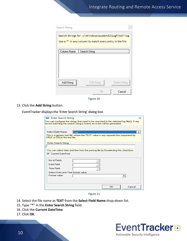| Search String                                                                                                       |               |               |  |
|---------------------------------------------------------------------------------------------------------------------|---------------|---------------|--|
| Search Strings for : c:\Windows\system32\LogFiles\*.log<br>Use a '*' in any column to match every entry in the file |               |               |  |
| Column Name                                                                                                         | Search String |               |  |
|                                                                                                                     |               |               |  |
|                                                                                                                     |               |               |  |
|                                                                                                                     |               |               |  |
|                                                                                                                     |               |               |  |
| Add String                                                                                                          | Edit String   | Delete String |  |
|                                                                                                                     | ПK            | Cancel        |  |

Figure 10

13. Click the **Add String** button.

EventTracker displays the 'Enter Search String' dialog box.

| <b>Enter Search String</b>                         |                                                                                                                                                                       |     | $\times$ |
|----------------------------------------------------|-----------------------------------------------------------------------------------------------------------------------------------------------------------------------|-----|----------|
|                                                    | You can configure the strings that need to be searched in the selected log file(s). If any<br>record matching the search string is found, an event will be generated. |     |          |
|                                                    |                                                                                                                                                                       |     |          |
| Select Field Name:                                 | ∣Text                                                                                                                                                                 |     |          |
| CRLF or CR) in the text file.                      | This is a generic text file, where the TEXT value is any separate line (separated by                                                                                  |     |          |
| Enter Search String<br>$\boldsymbol{\times}$       |                                                                                                                                                                       |     |          |
|                                                    |                                                                                                                                                                       |     |          |
| $\overline{\blacktriangledown}$ . Current DateTime | You can select date and time from the parsing file by Deselecting this checkbox.                                                                                      |     |          |
|                                                    |                                                                                                                                                                       |     |          |
| No of Fields                                       |                                                                                                                                                                       |     |          |
| Date Field                                         |                                                                                                                                                                       |     |          |
| Time Field                                         |                                                                                                                                                                       |     |          |
| Select Date and Time format value                  |                                                                                                                                                                       |     |          |
| Format value                                       |                                                                                                                                                                       |     |          |
|                                                    |                                                                                                                                                                       |     |          |
|                                                    |                                                                                                                                                                       |     |          |
|                                                    |                                                                                                                                                                       | ПK. | Cancel   |
|                                                    |                                                                                                                                                                       |     |          |

Figure 11

- 14. Select the file name as **TEXT** from the **Select Field Name** drop-down list.
- 15. Type "**\***" in the **Enter Search String** field.
- 16. Click the **Current DateTime**
- 17. Click **OK**.

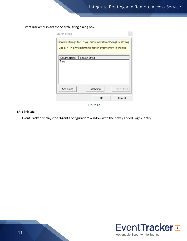EventTracker displays the Search String dialog box.

| Search String                                                                                                       |               |               |  |
|---------------------------------------------------------------------------------------------------------------------|---------------|---------------|--|
| Search Strings for : c:\Windows\system32\LogFiles\*.log<br>Use a '*' in any column to match every entry in the file |               |               |  |
| Column Name                                                                                                         | Search String |               |  |
| Text                                                                                                                | ×             |               |  |
| Add String                                                                                                          | Edit String   | Delete String |  |
|                                                                                                                     | ΟK            | Cancel        |  |

Figure 12

#### 18. Click **OK**.

EventTracker displays the 'Agent Configuration' window with the newly added Logfile entry.

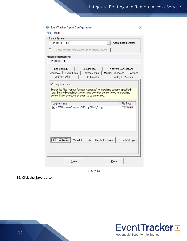| File<br>Help<br>Select Systems<br>NTPLDTBLR143<br>Agent based system<br>Apply the following settings to specified Agents<br>Manager destinations:<br>NTPLDTBLR143<br>Log Backup<br>Performance<br>Network Connections<br>Managers   Event Filters   System Monitor  <br>Monitor Processes   Services<br>Logfile Monitor<br><b>File Transfer</b><br>syslog FTP server<br>$\nabla$ Logfile Monitor<br>Search log files (various formats supported) for matching patterns specified<br>here. Both individual files as well as folders can be monitored for matching<br>entries. Matches cause an event to be generated.<br>File Type<br>Logfile Name<br>C:\Windows\system32\LogFiles\*.log<br><b>TEXTLINE</b><br>View File Details<br>Delete File Name<br>Search Strings<br>Add File Name<br>Save<br>Close | <b>EventTracker Agent Configuration</b> | × |
|---------------------------------------------------------------------------------------------------------------------------------------------------------------------------------------------------------------------------------------------------------------------------------------------------------------------------------------------------------------------------------------------------------------------------------------------------------------------------------------------------------------------------------------------------------------------------------------------------------------------------------------------------------------------------------------------------------------------------------------------------------------------------------------------------------|-----------------------------------------|---|
|                                                                                                                                                                                                                                                                                                                                                                                                                                                                                                                                                                                                                                                                                                                                                                                                         |                                         |   |
|                                                                                                                                                                                                                                                                                                                                                                                                                                                                                                                                                                                                                                                                                                                                                                                                         |                                         |   |
|                                                                                                                                                                                                                                                                                                                                                                                                                                                                                                                                                                                                                                                                                                                                                                                                         |                                         |   |
|                                                                                                                                                                                                                                                                                                                                                                                                                                                                                                                                                                                                                                                                                                                                                                                                         |                                         |   |
|                                                                                                                                                                                                                                                                                                                                                                                                                                                                                                                                                                                                                                                                                                                                                                                                         |                                         |   |
|                                                                                                                                                                                                                                                                                                                                                                                                                                                                                                                                                                                                                                                                                                                                                                                                         |                                         |   |
|                                                                                                                                                                                                                                                                                                                                                                                                                                                                                                                                                                                                                                                                                                                                                                                                         |                                         |   |
|                                                                                                                                                                                                                                                                                                                                                                                                                                                                                                                                                                                                                                                                                                                                                                                                         |                                         |   |
|                                                                                                                                                                                                                                                                                                                                                                                                                                                                                                                                                                                                                                                                                                                                                                                                         |                                         |   |
|                                                                                                                                                                                                                                                                                                                                                                                                                                                                                                                                                                                                                                                                                                                                                                                                         |                                         |   |
|                                                                                                                                                                                                                                                                                                                                                                                                                                                                                                                                                                                                                                                                                                                                                                                                         |                                         |   |
|                                                                                                                                                                                                                                                                                                                                                                                                                                                                                                                                                                                                                                                                                                                                                                                                         |                                         |   |
|                                                                                                                                                                                                                                                                                                                                                                                                                                                                                                                                                                                                                                                                                                                                                                                                         |                                         |   |
|                                                                                                                                                                                                                                                                                                                                                                                                                                                                                                                                                                                                                                                                                                                                                                                                         |                                         |   |
|                                                                                                                                                                                                                                                                                                                                                                                                                                                                                                                                                                                                                                                                                                                                                                                                         |                                         |   |
|                                                                                                                                                                                                                                                                                                                                                                                                                                                                                                                                                                                                                                                                                                                                                                                                         |                                         |   |
|                                                                                                                                                                                                                                                                                                                                                                                                                                                                                                                                                                                                                                                                                                                                                                                                         |                                         |   |
|                                                                                                                                                                                                                                                                                                                                                                                                                                                                                                                                                                                                                                                                                                                                                                                                         |                                         |   |
|                                                                                                                                                                                                                                                                                                                                                                                                                                                                                                                                                                                                                                                                                                                                                                                                         |                                         |   |
|                                                                                                                                                                                                                                                                                                                                                                                                                                                                                                                                                                                                                                                                                                                                                                                                         |                                         |   |
|                                                                                                                                                                                                                                                                                                                                                                                                                                                                                                                                                                                                                                                                                                                                                                                                         |                                         |   |
|                                                                                                                                                                                                                                                                                                                                                                                                                                                                                                                                                                                                                                                                                                                                                                                                         |                                         |   |
|                                                                                                                                                                                                                                                                                                                                                                                                                                                                                                                                                                                                                                                                                                                                                                                                         |                                         |   |
|                                                                                                                                                                                                                                                                                                                                                                                                                                                                                                                                                                                                                                                                                                                                                                                                         |                                         |   |
|                                                                                                                                                                                                                                                                                                                                                                                                                                                                                                                                                                                                                                                                                                                                                                                                         |                                         |   |
|                                                                                                                                                                                                                                                                                                                                                                                                                                                                                                                                                                                                                                                                                                                                                                                                         |                                         |   |
|                                                                                                                                                                                                                                                                                                                                                                                                                                                                                                                                                                                                                                                                                                                                                                                                         |                                         |   |

Figure 13

19. Click the **Save** button.

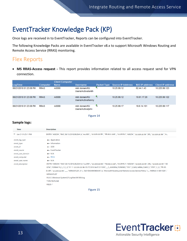# <span id="page-13-0"></span>EventTracker Knowledge Pack (KP)

Once logs are received in to EventTracker, Reports can be configured into EventTracker.

The following Knowledge Packs are available in EventTracker v8.x to support Microsoft Windows Routing and Remote Access Service (RRAS) monitoring.

### <span id="page-13-1"></span>Flex Reports

• **MS RRAS-Access request -** This report provides information related to all access request send for VPN connection.

|                        |                 | <b>Client Computer</b> |                                      |   |                                                                |             |               |
|------------------------|-----------------|------------------------|--------------------------------------|---|----------------------------------------------------------------|-------------|---------------|
| LogTime                | <b>Computer</b> | <b>Name</b>            | <b>Username</b>                      |   | Packet Type Source IP Address NAS IP address Client IP address |             |               |
| 06/21/2018 01:23:08 PM | <b>RRAS</b>     | A0090                  | mktr.domain/KU<br>Users/Active/smith | и | 10.25.99.12                                                    | 62.44.1.43  | 10.225.99.123 |
| 06/21/2018 01:23:08 PM | <b>RRAS</b>     | A0089                  | mktr.domain/KU<br>Users/Active/kenny | и | 10.25.99.12                                                    | 10.61.17.20 | 10.225.99.122 |
| 06/21/2018 01:23:08 PM | <b>RRAS</b>     | A0088                  | mktr.domain/KU<br>Users/Active/john  | и | 10.25.99.17                                                    | 19.6.14.101 | 10.225.99.117 |

Figure 14

#### **Sample logs:**

| <b>Time</b>            | <b>Description</b>                                                                                                                                  |
|------------------------|-----------------------------------------------------------------------------------------------------------------------------------------------------|
| $-$ Jun 21 01:25:11 PM | ENTRY:"A00254","RAS",06/13/2018,06:28:41,4,"mcr995",,"12.223.22.55","55.32.2.110.",,"11.23.5.2","A00254","12.223.22.55",385,,"12.223.22.55","A      |
| event_log_type         | $+$ - Application                                                                                                                                   |
| event_type             | +- Information                                                                                                                                      |
| event_id               | $+-3230$                                                                                                                                            |
| event_source           | +- EventTracker                                                                                                                                     |
| event_user_domain      | $+-$ N/A                                                                                                                                            |
| event_computer         | $\leftarrow$ RRAS                                                                                                                                   |
| event_user_name        | $+-$ N/A                                                                                                                                            |
| event description      | ENTRY:"A00254","RAS",06/13/2018,06:28:41,4,"mcr995",,"12.223.22.55","55.32.2.110",,"11.23.5.2","A00254","12.223.22.55",385,,"12.223.22.55","A0      |
|                        | 025.17,1,7705",1,7,2,17,,0,"3111 12.223.22.55 05/17/2018 04:07:23 5350",,,,2,42450954,252890902,"5351",3,2426,148984,224932,1,"3705",1,,3,1,"55.32- |
|                        | 2.110","12.223.22.55",,,,,,"MSRASV5.20",311,,"0x01534349454E4345",4,,"Microsoft Routing and Remote Access Service Policy",1,,,"MSRAS-0-GB11024","   |
|                        | MSRASV5.20"                                                                                                                                         |
|                        | FILE:C:\Windows\System32\LogFiles\IN1806.log                                                                                                        |
|                        | TYPE:TEXTLINE                                                                                                                                       |
|                        | FIELD: *                                                                                                                                            |

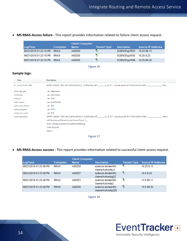• **MS RRAS-Access failure -** This report provides information related to failure client access request.

| LogTime                     | Computer    | <b>Client Computer</b><br><b>Name</b> | <b>Packet Type</b> | Username                   | <b>Source IP Address</b> |
|-----------------------------|-------------|---------------------------------------|--------------------|----------------------------|--------------------------|
|                             |             |                                       |                    |                            |                          |
| 06/21/2018 01:23:10 PM      | <b>RRAS</b> | A00250                                | в                  | SCIENCE\gzf555 10.25.99.13 |                          |
| 06/21/2018 01:23:10 PM RRAS |             | A00250                                | А                  | SCIENCE\gzf542 10.25.9.23  |                          |
|                             |             |                                       |                    |                            |                          |
| 06/21/2018 01:23:10 PM RRAS |             | A00250                                | 馬                  | SCIENCE\gzf589 10.25.98.30 |                          |
|                             |             |                                       |                    |                            |                          |

Figure 16

#### **Sample logs:**

| <b>Time</b>            | <b>Description</b>                                    |
|------------------------|-------------------------------------------------------|
| $-$ Jun 21 01:23:11 PM |                                                       |
| event_log_type         | +- Application                                        |
| event_type             | $+$ - Information                                     |
| event id               | $+-3230$                                              |
| event_source           | +- EventTracker                                       |
| event_user_domain      | $+ - N/A$                                             |
| event_computer         | $\div$ RRAS                                           |
| event_user_name        | $+ - N/A$                                             |
| event_description      |                                                       |
|                        | soft Routing and Remote Access Service Policy", 1,,,, |
|                        | FILE:C:\Windows\System32\LogFiles\IN1806.log          |
|                        | <b>TYPE:TEXTLINE</b>                                  |
|                        | FIELD: *                                              |
|                        |                                                       |

Figure 17

• **MS RRAS-Access success -** This report provides information related to successful client access request.

| LogTime                | Computer    | <b>Client Computer</b><br><b>Name</b> | <b>Username</b>                         | Packet Type | <b>Source IP Address</b> |
|------------------------|-------------|---------------------------------------|-----------------------------------------|-------------|--------------------------|
| 06/21/2018 01:23:08 PM | <b>RRAS</b> | A00250                                | science.domain/KU<br>Users/Active/lkL4  | и           | 10.25.9.13               |
| 06/21/2018 01:23:08 PM | <b>RRAS</b> | A00257                                | science.domain/KU<br>Users/Active/pg22  | И           | 10.5.9.22                |
| 06/21/2018 01:23:08 PM | <b>RRAS</b> | A00253                                | science.domain/KU<br>Users/Active/lp2   | 4           | 13.5.99.11               |
| 06/21/2018 01:23:08 PM | <b>RRAS</b> | A00250                                | science.domain/KU<br>Users/Active/kp225 | 5           | 13.5.99.23               |

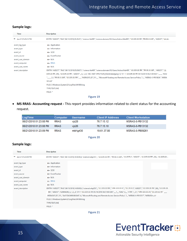#### **Sample logs:**

| <b>Time</b>                 | <b>Description</b>                                                                                                                                  |
|-----------------------------|-----------------------------------------------------------------------------------------------------------------------------------------------------|
| $\equiv$ Jun 21 01:25:13 PM | ENTRY:"A00257","RAS",06/13/2018,05:39:07,1,"science hb499","science.domain/KU Users/Active/thb499","12.223.22.55",'55.32.2.110",,,"A00257","12.22   |
| event_log_type              | $\leftarrow$ Application                                                                                                                            |
| event_type                  | +- Information                                                                                                                                      |
| event_id                    | $+-3230$                                                                                                                                            |
| event_source                | + EventTracker                                                                                                                                      |
| event_user_domain           | $+ - N/A$                                                                                                                                           |
| event_computer              | $+$ RRAS                                                                                                                                            |
| event user name             | $+$ $N/A$                                                                                                                                           |
| event description           | ENTRY:"A00257","RAS",06/13/2018,05:39:07,1,"science hb499","science.domain/KU Users/Active/thb499","12.223.22.55","55.32.2.110",,,"A00257","12.     |
|                             | 223.22.55",259,,"12.223.22.55","A00257",,,5,,1,2,5,"SEC-NAT-VPN-PLEN_Klientnetadgang",0,"311 1 12.223.22.55 05/14/2018 04:21:06 6231",,,,,,,,,"6232 |
|                             |                                                                                                                                                     |
|                             | SV5.20"                                                                                                                                             |
|                             | FILE:C:\Windows\System32\LogFiles\IN1806.log                                                                                                        |
|                             | <b>TYPE:TEXTLINE</b>                                                                                                                                |
|                             | FIELD: *                                                                                                                                            |
|                             |                                                                                                                                                     |

Figure 19

• **MS RRAS- Accounting request -** This report provides information related to client status for the accounting request.

| LogTime                | <b>Computer</b> | Username  | <b>Client IP Address</b> | <b>Client Workstation</b> |
|------------------------|-----------------|-----------|--------------------------|---------------------------|
| 06/21/2018 01:23:08 PM | <b>RRAS</b>     | vic28     | 76.7.15.12               | MSRAS-0-PB13132           |
| 06/21/2018 01:23:08 PM | <b>RRAS</b>     | vic26.    | 76.7.15.10               | MSRAS-0-PB13132           |
| 06/21/2018 01:23:09 PM | <b>RRAS</b>     | mktr\q430 | 19.61.37.80              | MSRAS-0-PB09261           |

Figure 20

#### **Sample logs:**

| <b>Time</b>            | <b>Description</b>                                                                                                                                           |
|------------------------|--------------------------------------------------------------------------------------------------------------------------------------------------------------|
| $-$ Jun 21 01:23:59 PM | ENTRY:"A00257","RAS",06/13/2018,14:50:00,4,"science\wkp253",,""12.223.22.55","55.32.2.110",,"11.23.5.2","A00257","12.223.22.55",262,,"12.223.22.5.           |
| event_log_type         | $+$ - Application                                                                                                                                            |
| event_type             | $+$ - Information                                                                                                                                            |
| event_id               | $+ - 3230$                                                                                                                                                   |
| event_source           | +- EventTracker                                                                                                                                              |
| event_user_domain      | $+-$ N/A                                                                                                                                                     |
| event_computer         | $+$ RRAS                                                                                                                                                     |
| event user name        | $+ - N/A$                                                                                                                                                    |
| event_description      | .2223.22.55",262,"RAS",06/13/2018,14:50:00,4,"science\wkp253",,"12.223.22.55","155.122.22.2",,"11.23.5.2","A00257","12.223.22.55",262,,"12.223.22.5          |
|                        | .55","A00257",1528894200,,5,,1,2,,,0,"311 1 12.223.22.55: 05/14/2018 04:21:06 6361",,,,,1,,,,"6362",3,,,,,"4799",1,,3,1,"155.122.22.23,"12.223.22.55" ,,,,,, |
|                        | MSRASV5.20",311,,"0x01534349454E4345",4,,"Microsoft Routing and Remote Access Service Policy",1,,,"MSRAS-0-PB10517","MSRASV5.20"                             |
|                        | FILE:C:\Windows\System32\LogFiles\IN1806.log                                                                                                                 |
|                        | <b>TYPE:TEXTLINE</b>                                                                                                                                         |
|                        | FIELD: *                                                                                                                                                     |

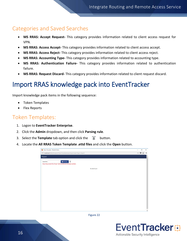### <span id="page-16-0"></span>Categories and Saved Searches

- **MS RRAS: Accept Request-** This category provides information related to client access request for VPN.
- **MS RRAS: Access Accept-** This category provides information related to client access accept.
- **MS RRAS: Access Reject-** This category provides information related to client access reject.
- **MS RRAS: Accounting Type-** This category provides information related to accounting type.
- **MS RRAS: Authentication Failure-** This category provides information related to authentication failure.
- **MS RRAS: Request Discard-** This category provides information related to client request discard.

# <span id="page-16-1"></span>Import RRAS knowledge pack into EventTracker

Import knowledge pack items in the following sequence:

- Token Templates
- Flex Reports

### <span id="page-16-2"></span>Token Templates:

- 1. Logon to **EventTracker Enterprise**.
- 2. Click the **Admin** dropdown, and then click **Parsing rule**.
- 3. Select the **Template** tab option and click the **F** button.
- 4. Locate the **All RRAS Token Template .ettd files** and click the **Open** button.

| Token Template - Mozilla Firefox                                                                                           | □<br>$\overline{\phantom{a}}$            | $\times$ |
|----------------------------------------------------------------------------------------------------------------------------|------------------------------------------|----------|
| 4 localhost:8080/Analysis/TokenTemplateImportExport.aspx?Type=Import                                                       | $\cdots \  \  \, \oplus \  \  \, \nabla$ | $\equiv$ |
| Import                                                                                                                     |                                          | ٨        |
| $\mathbb T$<br><b>C</b> Browse<br>Select file<br>Note: Please select file of type ".ettd (eventtracker template dashlets). |                                          |          |
| No data found                                                                                                              |                                          |          |
|                                                                                                                            |                                          |          |
|                                                                                                                            |                                          |          |
|                                                                                                                            |                                          |          |
|                                                                                                                            |                                          |          |
|                                                                                                                            |                                          |          |
|                                                                                                                            |                                          |          |
|                                                                                                                            |                                          |          |
|                                                                                                                            |                                          |          |
|                                                                                                                            |                                          |          |
|                                                                                                                            |                                          |          |

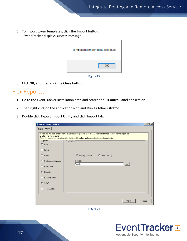5. To import token templates, click the **Import** button. EventTracker displays success message.

| Template(s) imported successfully |
|-----------------------------------|
| ОΚ                                |



6. Click **OK**, and then click the **Close** button.

### <span id="page-17-0"></span>Flex Reports:

- 1. Go to the EventTracker installation path and search for **ETControlPanel** application.
- 2. Then right click on the application icon and **Run as Administrator**.
- 3. Double click **Export Import Utility** and click **Import** tab.

| <b>Export Import Utility</b>                                                                                                                                                                              |                                                                                                                                                                                                                                                                                                               | $\Box$ |
|-----------------------------------------------------------------------------------------------------------------------------------------------------------------------------------------------------------|---------------------------------------------------------------------------------------------------------------------------------------------------------------------------------------------------------------------------------------------------------------------------------------------------------------|--------|
| Export Import                                                                                                                                                                                             |                                                                                                                                                                                                                                                                                                               |        |
| 2. Click the Import button<br>Options <sup>®</sup><br>C Category<br>C Filters<br>$C$ Alerts<br>Systems and Groups<br>C RSS Feeds<br>G.<br>Reports<br>C Behavior Rules<br>$C$ SCAP<br><b>C</b> Token Value | 1. Provide the path and file name of Schedule Report file. Use the '' button to browse and locate the import file.<br>Note : If report(s) contains template, first import template and proceed with exportimport utility.<br>Location<br>C Legacy (*.issch) C New (*.etcrx)<br>Source:<br>*.issch<br>$\cdots$ |        |
|                                                                                                                                                                                                           | Import                                                                                                                                                                                                                                                                                                        | Close  |



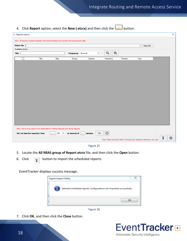4. Click **Report** option, select the **New (.etcrx)** and then click the button.

|                    | 단 Reports import                |       |    |              |                          |                                                                                                     |         |                    |              |   |                                                                            |      |             |   | $\times$ |
|--------------------|---------------------------------|-------|----|--------------|--------------------------|-----------------------------------------------------------------------------------------------------|---------|--------------------|--------------|---|----------------------------------------------------------------------------|------|-------------|---|----------|
|                    |                                 |       |    |              |                          | Note : If report(s) contains template, first import template and proceed with exportimport utility. |         |                    |              |   |                                                                            |      |             |   |          |
| <b>Select file</b> |                                 |       |    |              |                          |                                                                                                     |         |                    |              |   |                                                                            |      | Select file |   |          |
|                    | Available reports               |       |    |              |                          |                                                                                                     |         |                    |              |   |                                                                            |      |             |   |          |
| <b>Title</b>       |                                 |       |    |              |                          | Frequency Show all                                                                                  |         | $\pmb{\mathrm{v}}$ | Q            | Q |                                                                            |      |             |   |          |
|                    | П                               | Title |    | <b>Sites</b> |                          | Groups                                                                                              | Systems |                    | Frequency    |   | Runtime                                                                    | Type |             |   |          |
|                    |                                 |       |    |              |                          |                                                                                                     |         |                    |              |   |                                                                            |      |             |   |          |
|                    |                                 |       |    |              |                          |                                                                                                     |         |                    |              |   |                                                                            |      |             |   |          |
|                    |                                 |       |    |              |                          |                                                                                                     |         |                    |              |   |                                                                            |      |             |   |          |
|                    |                                 |       |    |              |                          |                                                                                                     |         |                    |              |   |                                                                            |      |             |   |          |
|                    |                                 |       |    |              |                          |                                                                                                     |         |                    |              |   |                                                                            |      |             |   |          |
|                    |                                 |       |    |              |                          |                                                                                                     |         |                    |              |   |                                                                            |      |             |   |          |
|                    |                                 |       |    |              |                          |                                                                                                     |         |                    |              |   |                                                                            |      |             |   |          |
|                    |                                 |       |    |              |                          |                                                                                                     |         |                    |              |   |                                                                            |      |             |   |          |
|                    |                                 |       |    |              |                          |                                                                                                     |         |                    |              |   |                                                                            |      |             |   |          |
|                    |                                 |       |    |              |                          |                                                                                                     |         |                    |              |   |                                                                            |      |             |   |          |
|                    |                                 |       |    |              |                          |                                                                                                     |         |                    |              |   |                                                                            |      |             |   |          |
|                    |                                 |       |    |              |                          |                                                                                                     |         |                    |              |   |                                                                            |      |             |   |          |
|                    |                                 |       |    |              |                          |                                                                                                     |         |                    |              |   |                                                                            |      |             |   |          |
|                    |                                 |       |    |              |                          |                                                                                                     |         |                    |              |   |                                                                            |      |             |   |          |
|                    |                                 |       |    |              |                          |                                                                                                     |         |                    |              |   |                                                                            |      |             |   |          |
|                    |                                 |       |    |              |                          |                                                                                                     |         |                    |              |   |                                                                            |      |             |   |          |
|                    |                                 |       |    |              |                          | Note: Set run time option is not applicable for Defined Reports and Hourly Reports                  |         |                    |              |   |                                                                            |      |             |   |          |
|                    | Set run time for report(s) from |       | L. | AM           | $\overline{\phantom{a}}$ | at interval of                                                                                      | minutes | Set                | $^\circledR$ |   |                                                                            |      |             |   |          |
|                    |                                 |       |    |              |                          |                                                                                                     |         |                    |              |   | Note: Make sure that Site(s), Group(s) and System(s) selections are valid. |      |             | T | ⊗        |
|                    |                                 |       |    |              |                          |                                                                                                     |         |                    |              |   |                                                                            |      |             |   |          |



- 5. Locate the **All RRAS group of Report**.**etcrx** file, and then click the **Open** button.
- 6. Click  $\sqrt{\frac{1}{k}}$  button to import the scheduled reports.

EventTracker displays success message.





7. Click **OK**, and then click the **Close** button.

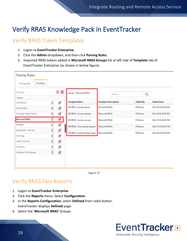# <span id="page-19-0"></span>Verify RRAS Knowledge Pack in EventTracker

## <span id="page-19-1"></span>Verify RRAS Token Templates

- 1. Logon to **EventTracker Enterprise**.
- 2. Click the **Admin** dropdown, and then click **Parsing Rules**.
- 3. Imported RRAS tokens added in **Microsoft RRAS Groups** list at left side of **Template** tab of EventTracker Enterprise (as shown in below figure).

| <b>Parsing Rules</b>            |              |            |                               |                             |                |                    |
|---------------------------------|--------------|------------|-------------------------------|-----------------------------|----------------|--------------------|
| Template<br><b>Parsing Rule</b> |              |            |                               |                             |                |                    |
| Groups                          | $^\circledR$ | 888<br>888 | Group: Microsoft RRAS         | Search                      | Q              |                    |
| Default                         |              |            |                               |                             |                | <b>Added Date</b>  |
| Cb Defense                      | Ш            | Ø          | <b>Template Name</b>          | <b>Template Description</b> | Added By       |                    |
| EventTracker                    | Ĥ            | Ø          | MS RRAS - Access failure      | <b>Microsoft RRAS</b>       | <b>ETAdmin</b> | Mar 05 03:46:03 PM |
| Exchange Spam Detect            | Û            | Ø          | MS RRAS - Access request      | <b>Microsoft RRAS</b>       | <b>ETAdmin</b> | Mar 05 03:46:03 PM |
| <b>Microsoft RRAS</b>           | U            | ◢          | MS RRAS - Access success      | <b>Microsoft RRAS</b>       | <b>ETAdmin</b> | Mar 05 03:46:03 PM |
| NtopNG                          | Û            | Ø          | MS RRAS - Accounting request  | <b>Microsoft RRAS</b>       | <b>ETAdmin</b> | Mar 05 03:46:03 PM |
| Sharepoint - File Sh            | Ĥ            | Ø          | MS RRAS - Authentication type | <b>Microsoft RRAS</b>       | <b>ETAdmin</b> | Mar 05 03:46:03 PM |
| Synology                        |              | Ø          |                               |                             |                |                    |
| Unifi AP AC Pro                 | m            | Ø          |                               |                             |                |                    |
| Windows                         |              | Ø          |                               |                             |                |                    |
| Windows File Sharing            | ▥            | ⊛          |                               |                             |                |                    |
|                                 |              |            |                               |                             |                |                    |
|                                 |              |            |                               |                             |                |                    |
|                                 |              |            |                               |                             |                |                    |

Figure 27

## <span id="page-19-2"></span>Verify RRAS Flex Reports

- 1. Logon to **EventTracker Enterprise**.
- 2. Click the **Reports** menu. Select **Configuration**.
- 3. In the **Reports Configuration**, select **Defined** from radio button. EventTracker displays **Defined** page.
- 4. Select the '**Microsoft RRAS'** Groups.